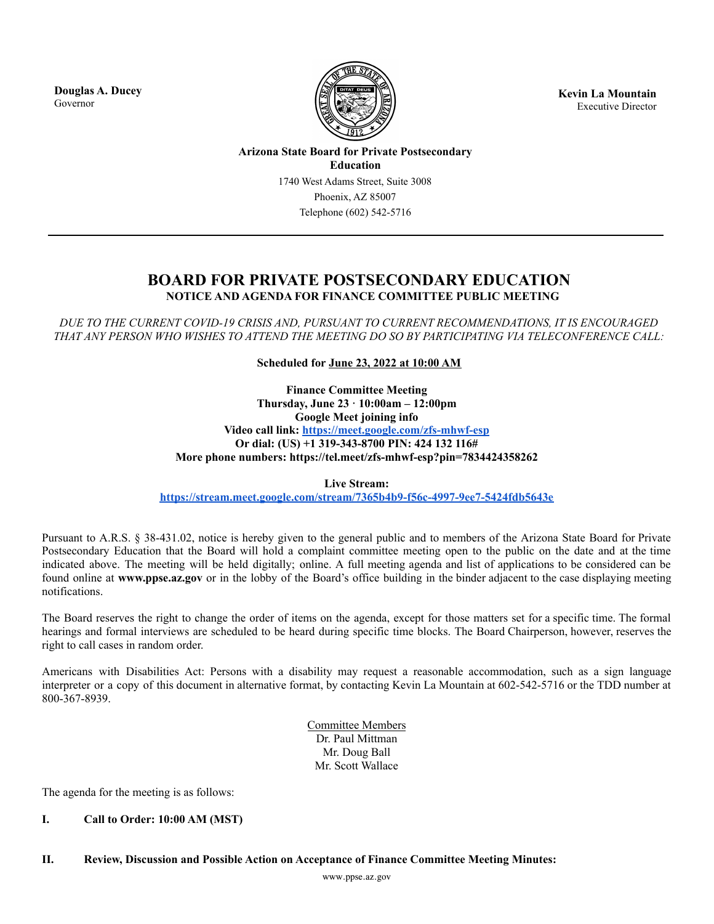**Douglas A. Ducey** Governor



**Kevin La Mountain** Executive Director

**Arizona State Board for Private Postsecondary Education** 1740 West Adams Street, Suite 3008 Phoenix, AZ 85007 Telephone (602) 542-5716

# **BOARD FOR PRIVATE POSTSECONDARY EDUCATION NOTICE AND AGENDA FOR FINANCE COMMITTEE PUBLIC MEETING**

*DUE TO THE CURRENT COVID-19 CRISIS AND, PURSUANT TO CURRENT RECOMMENDATIONS, IT IS ENCOURAGED THAT ANY PERSON WHO WISHES TO ATTEND THE MEETING DO SO BY PARTICIPATING VIA TELECONFERENCE CALL:*

**Scheduled for June 23, 2022 at 10:00 AM**

**Finance Committee Meeting Thursday, June 23 · 10:00am – 12:00pm Google Meet joining info Video call link: <https://meet.google.com/zfs-mhwf-esp> Or dial: (US) +1 319-343-8700 PIN: 424 132 116# More phone numbers: https://tel.meet/zfs-mhwf-esp?pin=7834424358262**

**Live Stream:**

**<https://stream.meet.google.com/stream/7365b4b9-f56c-4997-9ee7-5424fdb5643e>**

Pursuant to A.R.S. § 38-431.02, notice is hereby given to the general public and to members of the Arizona State Board for Private Postsecondary Education that the Board will hold a complaint committee meeting open to the public on the date and at the time indicated above. The meeting will be held digitally; online. A full meeting agenda and list of applications to be considered can be found online at **www.ppse.az.gov** or in the lobby of the Board's office building in the binder adjacent to the case displaying meeting notifications.

The Board reserves the right to change the order of items on the agenda, except for those matters set for a specific time. The formal hearings and formal interviews are scheduled to be heard during specific time blocks. The Board Chairperson, however, reserves the right to call cases in random order.

Americans with Disabilities Act: Persons with a disability may request a reasonable accommodation, such as a sign language interpreter or a copy of this document in alternative format, by contacting Kevin La Mountain at 602-542-5716 or the TDD number at 800-367-8939.

> Committee Members Dr. Paul Mittman Mr. Doug Ball Mr. Scott Wallace

The agenda for the meeting is as follows:

## **I. Call to Order: 10:00 AM (MST)**

**II. Review, Discussion and Possible Action on Acceptance of Finance Committee Meeting Minutes:**